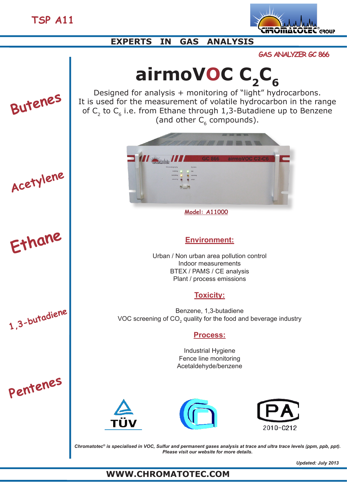

# **EXPERTS IN GAS ANALYSIS**

**GAS ANALYZER GC 866**

# airmoVOC C<sub>2</sub>C<sub>6</sub>



**1,3-butadiene**

**Ethane**

**Acetylene**

**Pentenes**

Designed for analysis + monitoring of "light" hydrocarbons. It is used for the measurement of volatile hydrocarbon in the range of  $C_2$  to  $C_6$  i.e. from Ethane through 1,3-Butadiene up to Benzene (and other  $C_6$  compounds).



**Model: A11000**

## **Environment:**

Urban / Non urban area pollution control Indoor measurements BTEX / PAMS / CE analysis Plant / process emissions

## **Toxicity:**

Benzene, 1,3-butadiene VOC screening of CO<sub>2</sub> quality for the food and beverage industry

## **Process:**

Industrial Hygiene Fence line monitoring Acetaldehyde/benzene







*Chromatotec® is specialised in VOC, Sulfur and permanent gases analysis at trace and ultra trace levels (ppm, ppb, ppt). Please visit our website for more details.*

# **WWW.CHROMATOTEC.COM**